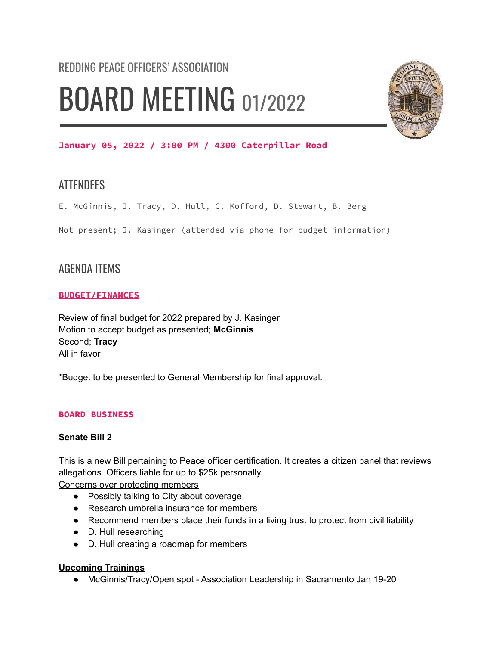# REDDING PEACE OFFICERS' ASSOCIATION BOARD MEETING 01/2022



# **January 05, 2022 / 3:00 PM / 4300 Caterpillar Road**

# **ATTENDEES**

E. McGinnis, J. Tracy, D. Hull, C. Kofford, D. Stewart, B. Berg

Not present; J. Kasinger (attended via phone for budget information)

# AGENDA ITEMS

# **BUDGET/FINANCES**

Review of final budget for 2022 prepared by J. Kasinger Motion to accept budget as presented; **McGinnis** Second; **Tracy** All in favor

\*Budget to be presented to General Membership for final approval.

# **BOARD BUSINESS**

# **Senate Bill 2**

This is a new Bill pertaining to Peace officer certification. It creates a citizen panel that reviews allegations. Officers liable for up to \$25k personally.

Concerns over protecting members

- Possibly talking to City about coverage
- Research umbrella insurance for members
- Recommend members place their funds in a living trust to protect from civil liability
- D. Hull researching
- D. Hull creating a roadmap for members

# **Upcoming Trainings**

● McGinnis/Tracy/Open spot - Association Leadership in Sacramento Jan 19-20